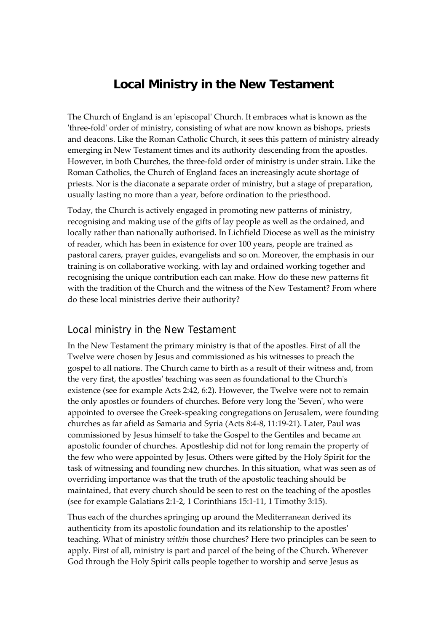## **Local Ministry in the New Testament**

The Church of England is an 'episcopal' Church. It embraces what is known as the 'three-fold' order of ministry, consisting of what are now known as bishops, priests and deacons. Like the Roman Catholic Church, it sees this pattern of ministry already emerging in New Testament times and its authority descending from the apostles. However, in both Churches, the three‐fold order of ministry is under strain. Like the Roman Catholics, the Church of England faces an increasingly acute shortage of priests. Nor is the diaconate a separate order of ministry, but a stage of preparation, usually lasting no more than a year, before ordination to the priesthood.

Today, the Church is actively engaged in promoting new patterns of ministry, recognising and making use of the gifts of lay people as well as the ordained, and locally rather than nationally authorised. In Lichfield Diocese as well as the ministry of reader, which has been in existence for over 100 years, people are trained as pastoral carers, prayer guides, evangelists and so on. Moreover, the emphasis in our training is on collaborative working, with lay and ordained working together and recognising the unique contribution each can make. How do these new patterns fit with the tradition of the Church and the witness of the New Testament? From where do these local ministries derive their authority?

## Local ministry in the New Testament

In the New Testament the primary ministry is that of the apostles. First of all the Twelve were chosen by Jesus and commissioned as his witnesses to preach the gospel to all nations. The Church came to birth as a result of their witness and, from the very first, the apostlesʹ teaching was seen as foundational to the Churchʹs existence (see for example Acts 2:42, 6:2). However, the Twelve were not to remain the only apostles or founders of churches. Before very long the 'Seven', who were appointed to oversee the Greek‐speaking congregations on Jerusalem, were founding churches as far afield as Samaria and Syria (Acts 8:4‐8, 11:19‐21). Later, Paul was commissioned by Jesus himself to take the Gospel to the Gentiles and became an apostolic founder of churches. Apostleship did not for long remain the property of the few who were appointed by Jesus. Others were gifted by the Holy Spirit for the task of witnessing and founding new churches. In this situation, what was seen as of overriding importance was that the truth of the apostolic teaching should be maintained, that every church should be seen to rest on the teaching of the apostles (see for example Galatians 2:1‐2, 1 Corinthians 15:1‐11, 1 Timothy 3:15).

Thus each of the churches springing up around the Mediterranean derived its authenticity from its apostolic foundation and its relationship to the apostlesʹ teaching. What of ministry *within* those churches? Here two principles can be seen to apply. First of all, ministry is part and parcel of the being of the Church. Wherever God through the Holy Spirit calls people together to worship and serve Jesus as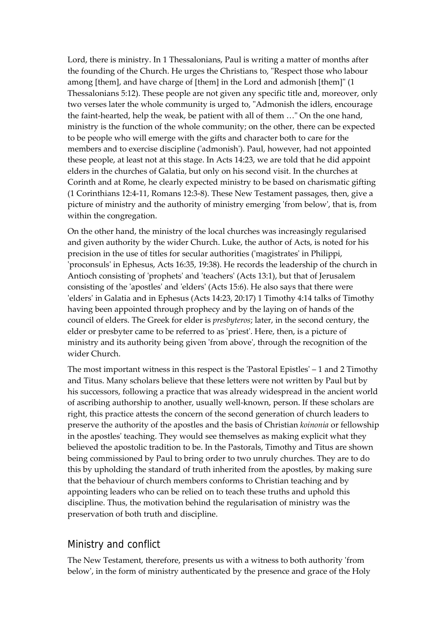Lord, there is ministry. In 1 Thessalonians, Paul is writing a matter of months after the founding of the Church. He urges the Christians to, "Respect those who labour among [them], and have charge of [them] in the Lord and admonish [them]" (1) Thessalonians 5:12). These people are not given any specific title and, moreover, only two verses later the whole community is urged to, "Admonish the idlers, encourage the faint-hearted, help the weak, be patient with all of them ..." On the one hand, ministry is the function of the whole community; on the other, there can be expected to be people who will emerge with the gifts and character both to care for the members and to exercise discipline (ʹadmonishʹ). Paul, however, had not appointed these people, at least not at this stage. In Acts 14:23, we are told that he did appoint elders in the churches of Galatia, but only on his second visit. In the churches at Corinth and at Rome, he clearly expected ministry to be based on charismatic gifting (1 Corinthians 12:4‐11, Romans 12:3‐8). These New Testament passages, then, give a picture of ministry and the authority of ministry emerging 'from below', that is, from within the congregation.

On the other hand, the ministry of the local churches was increasingly regularised and given authority by the wider Church. Luke, the author of Acts, is noted for his precision in the use of titles for secular authorities (ʹmagistratesʹ in Philippi, ʹproconsulsʹ in Ephesus, Acts 16:35, 19:38). He records the leadership of the church in Antioch consisting of 'prophets' and 'teachers' (Acts 13:1), but that of Jerusalem consisting of the 'apostles' and 'elders' (Acts 15:6). He also says that there were 'elders' in Galatia and in Ephesus (Acts 14:23, 20:17) 1 Timothy 4:14 talks of Timothy having been appointed through prophecy and by the laying on of hands of the council of elders. The Greek for elder is *presbyteros*; later, in the second century, the elder or presbyter came to be referred to as 'priest'. Here, then, is a picture of ministry and its authority being given 'from above', through the recognition of the wider Church.

The most important witness in this respect is the 'Pastoral Epistles' – 1 and 2 Timothy and Titus. Many scholars believe that these letters were not written by Paul but by his successors, following a practice that was already widespread in the ancient world of ascribing authorship to another, usually well‐known, person. If these scholars are right, this practice attests the concern of the second generation of church leaders to preserve the authority of the apostles and the basis of Christian *koinonia* or fellowship in the apostles' teaching. They would see themselves as making explicit what they believed the apostolic tradition to be. In the Pastorals, Timothy and Titus are shown being commissioned by Paul to bring order to two unruly churches. They are to do this by upholding the standard of truth inherited from the apostles, by making sure that the behaviour of church members conforms to Christian teaching and by appointing leaders who can be relied on to teach these truths and uphold this discipline. Thus, the motivation behind the regularisation of ministry was the preservation of both truth and discipline.

## Ministry and conflict

The New Testament, therefore, presents us with a witness to both authority 'from belowʹ, in the form of ministry authenticated by the presence and grace of the Holy